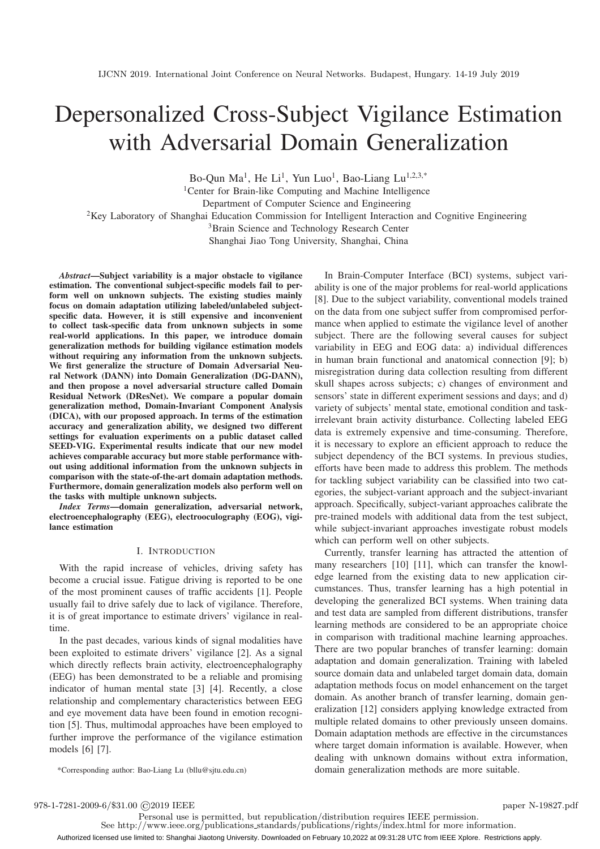# Depersonalized Cross-Subject Vigilance Estimation with Adversarial Domain Generalization

Bo-Qun Ma<sup>1</sup>, He Li<sup>1</sup>, Yun Luo<sup>1</sup>, Bao-Liang Lu<sup>1,2,3,\*</sup>

<sup>1</sup>Center for Brain-like Computing and Machine Intelligence

Department of Computer Science and Engineering

<sup>2</sup>Key Laboratory of Shanghai Education Commission for Intelligent Interaction and Cognitive Engineering

<sup>3</sup>Brain Science and Technology Research Center

Shanghai Jiao Tong University, Shanghai, China

*Abstract*—Subject variability is a major obstacle to vigilance estimation. The conventional subject-specific models fail to perform well on unknown subjects. The existing studies mainly focus on domain adaptation utilizing labeled/unlabeled subjectspecific data. However, it is still expensive and inconvenient to collect task-specific data from unknown subjects in some real-world applications. In this paper, we introduce domain generalization methods for building vigilance estimation models without requiring any information from the unknown subjects. We first generalize the structure of Domain Adversarial Neural Network (DANN) into Domain Generalization (DG-DANN), and then propose a novel adversarial structure called Domain Residual Network (DResNet). We compare a popular domain generalization method, Domain-Invariant Component Analysis (DICA), with our proposed approach. In terms of the estimation accuracy and generalization ability, we designed two different settings for evaluation experiments on a public dataset called SEED-VIG. Experimental results indicate that our new model achieves comparable accuracy but more stable performance without using additional information from the unknown subjects in comparison with the state-of-the-art domain adaptation methods. Furthermore, domain generalization models also perform well on the tasks with multiple unknown subjects.

*Index Terms*—domain generalization, adversarial network, electroencephalography (EEG), electrooculography (EOG), vigilance estimation

# I. INTRODUCTION

With the rapid increase of vehicles, driving safety has become a crucial issue. Fatigue driving is reported to be one of the most prominent causes of traffic accidents [1]. People usually fail to drive safely due to lack of vigilance. Therefore, it is of great importance to estimate drivers' vigilance in realtime.

In the past decades, various kinds of signal modalities have been exploited to estimate drivers' vigilance [2]. As a signal which directly reflects brain activity, electroencephalography (EEG) has been demonstrated to be a reliable and promising indicator of human mental state [3] [4]. Recently, a close relationship and complementary characteristics between EEG and eye movement data have been found in emotion recognition [5]. Thus, multimodal approaches have been employed to further improve the performance of the vigilance estimation models [6] [7].

\*Corresponding author: Bao-Liang Lu (bllu@sjtu.edu.cn)

In Brain-Computer Interface (BCI) systems, subject variability is one of the major problems for real-world applications [8]. Due to the subject variability, conventional models trained on the data from one subject suffer from compromised performance when applied to estimate the vigilance level of another subject. There are the following several causes for subject variability in EEG and EOG data: a) individual differences in human brain functional and anatomical connection [9]; b) misregistration during data collection resulting from different skull shapes across subjects; c) changes of environment and sensors' state in different experiment sessions and days; and d) variety of subjects' mental state, emotional condition and taskirrelevant brain activity disturbance. Collecting labeled EEG data is extremely expensive and time-consuming. Therefore, it is necessary to explore an efficient approach to reduce the subject dependency of the BCI systems. In previous studies, efforts have been made to address this problem. The methods for tackling subject variability can be classified into two categories, the subject-variant approach and the subject-invariant approach. Specifically, subject-variant approaches calibrate the pre-trained models with additional data from the test subject, while subject-invariant approaches investigate robust models which can perform well on other subjects.

Currently, transfer learning has attracted the attention of many researchers [10] [11], which can transfer the knowledge learned from the existing data to new application circumstances. Thus, transfer learning has a high potential in developing the generalized BCI systems. When training data and test data are sampled from different distributions, transfer learning methods are considered to be an appropriate choice in comparison with traditional machine learning approaches. There are two popular branches of transfer learning: domain adaptation and domain generalization. Training with labeled source domain data and unlabeled target domain data, domain adaptation methods focus on model enhancement on the target domain. As another branch of transfer learning, domain generalization [12] considers applying knowledge extracted from multiple related domains to other previously unseen domains. Domain adaptation methods are effective in the circumstances where target domain information is available. However, when dealing with unknown domains without extra information, domain generalization methods are more suitable.

Personal use is permitted, but republication/distribution requires IEEE permission. See http://www.ieee.org/publications standards/publications/rights/index.html for more information. Authorized licensed use limited to: Shanghai Jiaotong University. Downloaded on February 10,2022 at 09:31:28 UTC from IEEE Xplore. Restrictions apply.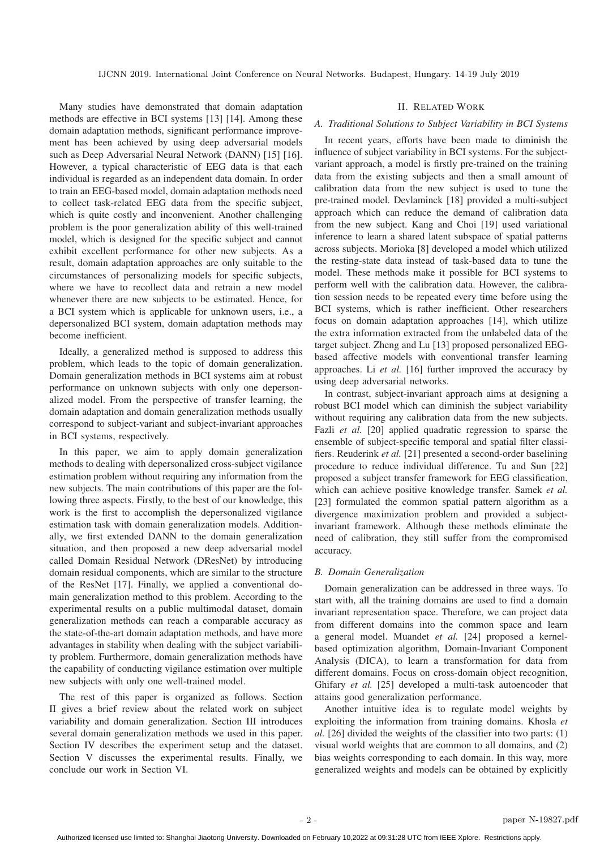Many studies have demonstrated that domain adaptation methods are effective in BCI systems [13] [14]. Among these domain adaptation methods, significant performance improvement has been achieved by using deep adversarial models such as Deep Adversarial Neural Network (DANN) [15] [16]. However, a typical characteristic of EEG data is that each individual is regarded as an independent data domain. In order to train an EEG-based model, domain adaptation methods need to collect task-related EEG data from the specific subject, which is quite costly and inconvenient. Another challenging problem is the poor generalization ability of this well-trained model, which is designed for the specific subject and cannot exhibit excellent performance for other new subjects. As a result, domain adaptation approaches are only suitable to the circumstances of personalizing models for specific subjects, where we have to recollect data and retrain a new model whenever there are new subjects to be estimated. Hence, for a BCI system which is applicable for unknown users, i.e., a depersonalized BCI system, domain adaptation methods may become inefficient.

Ideally, a generalized method is supposed to address this problem, which leads to the topic of domain generalization. Domain generalization methods in BCI systems aim at robust performance on unknown subjects with only one depersonalized model. From the perspective of transfer learning, the domain adaptation and domain generalization methods usually correspond to subject-variant and subject-invariant approaches in BCI systems, respectively.

In this paper, we aim to apply domain generalization methods to dealing with depersonalized cross-subject vigilance estimation problem without requiring any information from the new subjects. The main contributions of this paper are the following three aspects. Firstly, to the best of our knowledge, this work is the first to accomplish the depersonalized vigilance estimation task with domain generalization models. Additionally, we first extended DANN to the domain generalization situation, and then proposed a new deep adversarial model called Domain Residual Network (DResNet) by introducing domain residual components, which are similar to the structure of the ResNet [17]. Finally, we applied a conventional domain generalization method to this problem. According to the experimental results on a public multimodal dataset, domain generalization methods can reach a comparable accuracy as the state-of-the-art domain adaptation methods, and have more advantages in stability when dealing with the subject variability problem. Furthermore, domain generalization methods have the capability of conducting vigilance estimation over multiple new subjects with only one well-trained model.

The rest of this paper is organized as follows. Section II gives a brief review about the related work on subject variability and domain generalization. Section III introduces several domain generalization methods we used in this paper. Section IV describes the experiment setup and the dataset. Section V discusses the experimental results. Finally, we conclude our work in Section VI.

# II. RELATED WORK

# *A. Traditional Solutions to Subject Variability in BCI Systems*

In recent years, efforts have been made to diminish the influence of subject variability in BCI systems. For the subjectvariant approach, a model is firstly pre-trained on the training data from the existing subjects and then a small amount of calibration data from the new subject is used to tune the pre-trained model. Devlaminck [18] provided a multi-subject approach which can reduce the demand of calibration data from the new subject. Kang and Choi [19] used variational inference to learn a shared latent subspace of spatial patterns across subjects. Morioka [8] developed a model which utilized the resting-state data instead of task-based data to tune the model. These methods make it possible for BCI systems to perform well with the calibration data. However, the calibration session needs to be repeated every time before using the BCI systems, which is rather inefficient. Other researchers focus on domain adaptation approaches [14], which utilize the extra information extracted from the unlabeled data of the target subject. Zheng and Lu [13] proposed personalized EEGbased affective models with conventional transfer learning approaches. Li *et al.* [16] further improved the accuracy by using deep adversarial networks.

In contrast, subject-invariant approach aims at designing a robust BCI model which can diminish the subject variability without requiring any calibration data from the new subjects. Fazli *et al.* [20] applied quadratic regression to sparse the ensemble of subject-specific temporal and spatial filter classifiers. Reuderink *et al.* [21] presented a second-order baselining procedure to reduce individual difference. Tu and Sun [22] proposed a subject transfer framework for EEG classification, which can achieve positive knowledge transfer. Samek *et al.* [23] formulated the common spatial pattern algorithm as a divergence maximization problem and provided a subjectinvariant framework. Although these methods eliminate the need of calibration, they still suffer from the compromised accuracy.

# *B. Domain Generalization*

Domain generalization can be addressed in three ways. To start with, all the training domains are used to find a domain invariant representation space. Therefore, we can project data from different domains into the common space and learn a general model. Muandet *et al.* [24] proposed a kernelbased optimization algorithm, Domain-Invariant Component Analysis (DICA), to learn a transformation for data from different domains. Focus on cross-domain object recognition, Ghifary *et al.* [25] developed a multi-task autoencoder that attains good generalization performance.

Another intuitive idea is to regulate model weights by exploiting the information from training domains. Khosla *et al.* [26] divided the weights of the classifier into two parts: (1) visual world weights that are common to all domains, and (2) bias weights corresponding to each domain. In this way, more generalized weights and models can be obtained by explicitly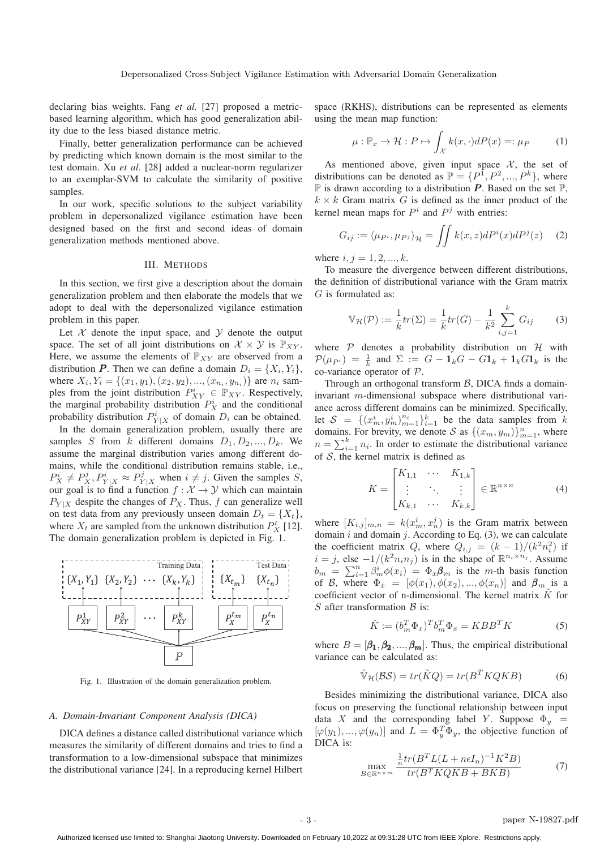declaring bias weights. Fang *et al.* [27] proposed a metricbased learning algorithm, which has good generalization ability due to the less biased distance metric.

Finally, better generalization performance can be achieved by predicting which known domain is the most similar to the test domain. Xu *et al.* [28] added a nuclear-norm regularizer to an exemplar-SVM to calculate the similarity of positive samples.

In our work, specific solutions to the subject variability problem in depersonalized vigilance estimation have been designed based on the first and second ideas of domain generalization methods mentioned above.

### III. METHODS

In this section, we first give a description about the domain generalization problem and then elaborate the models that we adopt to deal with the depersonalized vigilance estimation problem in this paper.

Let  $X$  denote the input space, and  $Y$  denote the output space. The set of all joint distributions on  $\mathcal{X} \times \mathcal{Y}$  is  $\mathbb{P}_{XY}$ . Here, we assume the elements of  $\mathbb{P}_{XY}$  are observed from a distribution P. Then we can define a domain  $D_i = \{X_i, Y_i\},\$ where  $X_i, Y_i = \{(x_1, y_1), (x_2, y_2), ..., (x_{n_i}, y_{n_i})\}$  are  $n_i$  samples from the joint distribution  $P_{XY}^i \in \mathbb{P}_{XY}$ . Respectively, the marginal probability distribution  $P_X^i$  and the conditional probability distribution  $P_{Y|X}^i$  of domain  $D_i$  can be obtained.

In the domain generalization problem, usually there are samples S from k different domains  $D_1, D_2, ..., D_k$ . We assume the marginal distribution varies among different domains, while the conditional distribution remains stable, i.e.,  $P_X^i \neq P_X^j, P_{Y|X}^i \approx P_{Y|X}^j$  when  $i \neq j$ . Given the samples *S*, our goal is to find a function  $f : \mathcal{X} \to \mathcal{Y}$  which can maintain  $P_{Y|X}$  despite the changes of  $P_X$ . Thus, f can generalize well on test data from any previously unseen domain  $D_t = \{X_t\},\$ where  $X_t$  are sampled from the unknown distribution  $P_X^t$  [12]. The domain generalization problem is depicted in Fig. 1.



Fig. 1. Illustration of the domain generalization problem.

#### *A. Domain-Invariant Component Analysis (DICA)*

DICA defines a distance called distributional variance which measures the similarity of different domains and tries to find a transformation to a low-dimensional subspace that minimizes the distributional variance [24]. In a reproducing kernel Hilbert

space (RKHS), distributions can be represented as elements using the mean map function:

$$
\mu: \mathbb{P}_x \to \mathcal{H}: P \mapsto \int_{\mathcal{X}} k(x, \cdot) dP(x) =: \mu_P \tag{1}
$$

As mentioned above, given input space  $\mathcal{X}$ , the set of distributions can be denoted as  $\mathbb{P} = \{P^1, P^2, ..., P^k\}$ , where  $\mathbb P$  is drawn according to a distribution  $P$ . Based on the set  $\mathbb P$ ,  $k \times k$  Gram matrix G is defined as the inner product of the kernel mean maps for  $P<sup>i</sup>$  and  $P<sup>j</sup>$  with entries:

$$
G_{ij} := \langle \mu_{P^i}, \mu_{P^j} \rangle_{\mathcal{H}} = \iint k(x, z) dP^i(x) dP^j(z) \quad (2)
$$

where  $i, j = 1, 2, ..., k$ .

To measure the divergence between different distributions, the definition of distributional variance with the Gram matrix G is formulated as:

$$
\mathbb{V}_{\mathcal{H}}(\mathcal{P}) := \frac{1}{k} tr(\Sigma) = \frac{1}{k} tr(G) - \frac{1}{k^2} \sum_{i,j=1}^{k} G_{ij}
$$
 (3)

where  $P$  denotes a probability distribution on  $H$  with  $\mathcal{P}(\mu_{P_i}) = \frac{1}{k}$  and  $\Sigma := G - \mathbf{1}_k G - G \mathbf{1}_k + \mathbf{1}_k G \mathbf{1}_k$  is the co-variance operator of P.

Through an orthogonal transform  $B$ , DICA finds a domaininvariant m-dimensional subspace where distributional variance across different domains can be minimized. Specifically, let  $S = \{(x_m^i, y_m^i)_{m=1}^{n_i}\}_{i=1}^k$  be the data samples from k domains. For brevity, we denote S as  $\{(x_m, y_m)\}_{m=1}^n$ , where  $n = \sum_{i=1}^{k} n_i$ . In order to estimate the distributional variance of  $S$ , the kernel matrix is defined as

$$
K = \begin{bmatrix} K_{1,1} & \cdots & K_{1,k} \\ \vdots & \ddots & \vdots \\ K_{k,1} & \cdots & K_{k,k} \end{bmatrix} \in \mathbb{R}^{n \times n}
$$
 (4)

where  $[K_{i,j}]_{m,n} = k(x_m^i, x_n^j)$  is the Gram matrix between domain  $i$  and domain  $j$ . According to Eq. (3), we can calculate the coefficient matrix Q, where  $Q_{i,j} = (k-1)/(k^2 n_i^2)$  if  $i = j$ , else  $-1/(k^2 n_i n_j)$  is in the shape of  $\mathbb{R}^{n_i \times n_j}$ . Assume  $b_m = \sum_{i=1}^n \beta_m^i \phi(x_i) = \Phi_x \beta_m$  is the *m*-th basis function of B, where  $\Phi_x = [\phi(x_1), \phi(x_2), ..., \phi(x_n)]$  and  $\beta_m$  is a coefficient vector of n-dimensional. The kernel matrix  $K$  for S after transformation  $\beta$  is:

$$
\tilde{K} := (b_m^T \Phi_x)^T b_m^T \Phi_x = KBB^T K \tag{5}
$$

where  $B = [\beta_1, \beta_2, ..., \beta_m]$ . Thus, the empirical distributional variance can be calculated as:

$$
\hat{\mathbb{V}}_{\mathcal{H}}(\mathcal{B}\mathcal{S}) = tr(\tilde{K}Q) = tr(B^T KQKB)
$$
 (6)

Besides minimizing the distributional variance, DICA also focus on preserving the functional relationship between input data X and the corresponding label Y. Suppose  $\Phi_y$  =  $[\varphi(y_1), ..., \varphi(y_n)]$  and  $L = \Phi_y^T \Phi_y$ , the objective function of DICA is:

$$
\max_{B \in \mathbb{R}^{n \times m}} \frac{\frac{1}{n} tr(B^T L(L + n\epsilon I_n)^{-1} K^2 B)}{tr(B^T KQKB + BK B)} \tag{7}
$$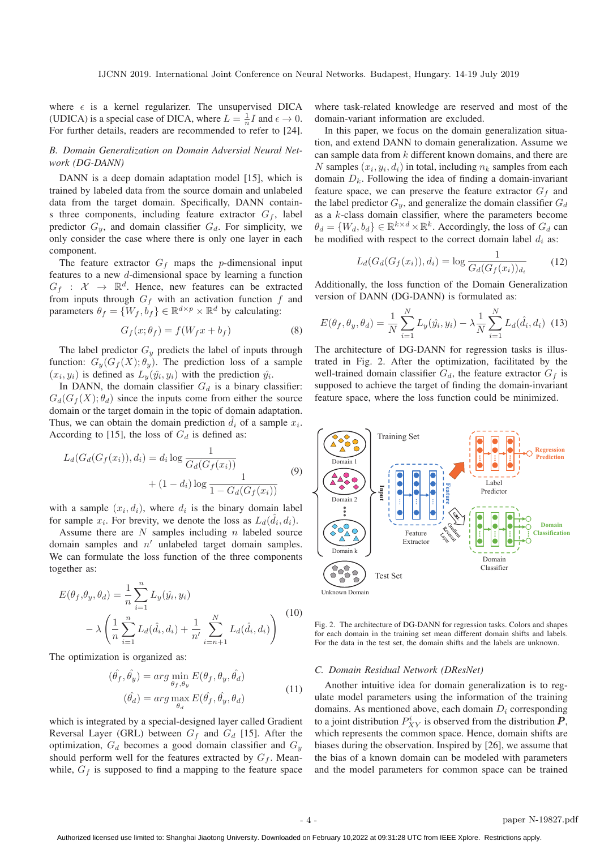where  $\epsilon$  is a kernel regularizer. The unsupervised DICA (UDICA) is a special case of DICA, where  $L = \frac{1}{n}I$  and  $\epsilon \to 0$ . For further details, readers are recommended to refer to [24].

# *B. Domain Generalization on Domain Adversial Neural Network (DG-DANN)*

DANN is a deep domain adaptation model [15], which is trained by labeled data from the source domain and unlabeled data from the target domain. Specifically, DANN contains three components, including feature extractor  $G_f$ , label predictor  $G_y$ , and domain classifier  $G_d$ . For simplicity, we only consider the case where there is only one layer in each component.

The feature extractor  $G_f$  maps the *p*-dimensional input features to a new d-dimensional space by learning a function  $G_f$  :  $\mathcal{X} \rightarrow \mathbb{R}^d$ . Hence, new features can be extracted from inputs through  $G_f$  with an activation function  $f$  and parameters  $\theta_f = \{W_f, \dot{b}_f\} \in \mathbb{R}^{d \times p} \times \mathbb{R}^d$  by calculating:

$$
G_f(x; \theta_f) = f(W_f x + b_f)
$$
 (8)

The label predictor  $G_y$  predicts the label of inputs through function:  $G_y(G_f(X); \theta_y)$ . The prediction loss of a sample  $(x_i, y_i)$  is defined as  $L_y(\hat{y}_i, y_i)$  with the prediction  $\hat{y}_i$ .

In DANN, the domain classifier  $G_d$  is a binary classifier:  $G_d(G_f(X); \theta_d)$  since the inputs come from either the source domain or the target domain in the topic of domain adaptation. Thus, we can obtain the domain prediction  $\hat{d}_i$  of a sample  $x_i$ . According to [15], the loss of  $G_d$  is defined as:

$$
L_d(G_d(G_f(x_i)), d_i) = d_i \log \frac{1}{G_d(G_f(x_i))} + (1 - d_i) \log \frac{1}{1 - G_d(G_f(x_i))}
$$
(9)

with a sample  $(x_i, d_i)$ , where  $d_i$  is the binary domain label for sample  $x_i$ . For brevity, we denote the loss as  $L_d(\hat{d}_i, d_i)$ .

Assume there are  $N$  samples including  $n$  labeled source domain samples and  $n'$  unlabeled target domain samples. We can formulate the loss function of the three components together as:

$$
E(\theta_f, \theta_y, \theta_d) = \frac{1}{n} \sum_{i=1}^n L_y(\hat{y}_i, y_i)
$$
  
-  $\lambda \left( \frac{1}{n} \sum_{i=1}^n L_d(\hat{d}_i, d_i) + \frac{1}{n'} \sum_{i=n+1}^N L_d(\hat{d}_i, d_i) \right)$  (10)

The optimization is organized as:

$$
(\hat{\theta_f}, \hat{\theta_y}) = \arg \min_{\theta_f, \theta_y} E(\theta_f, \theta_y, \hat{\theta_d})
$$
  

$$
(\hat{\theta_d}) = \arg \max_{\theta_d} E(\hat{\theta_f}, \hat{\theta_y}, \theta_d)
$$
 (11)

which is integrated by a special-designed layer called Gradient Reversal Layer (GRL) between  $G_f$  and  $G_d$  [15]. After the optimization,  $G_d$  becomes a good domain classifier and  $G_y$ should perform well for the features extracted by  $G_f$ . Meanwhile,  $G_f$  is supposed to find a mapping to the feature space

where task-related knowledge are reserved and most of the domain-variant information are excluded.

In this paper, we focus on the domain generalization situation, and extend DANN to domain generalization. Assume we can sample data from k different known domains, and there are N samples  $(x_i, y_i, d_i)$  in total, including  $n_k$  samples from each domain  $D_k$ . Following the idea of finding a domain-invariant feature space, we can preserve the feature extractor  $G_f$  and the label predictor  $G_y$ , and generalize the domain classifier  $G_d$ as a k-class domain classifier, where the parameters become  $\theta_d = \{W_d, b_d\} \in \mathbb{R}^{k \times d} \times \mathbb{R}^k$ . Accordingly, the loss of  $G_d$  can be modified with respect to the correct domain label  $d_i$  as:

$$
L_d(G_d(G_f(x_i)), d_i) = \log \frac{1}{G_d(G_f(x_i))_{d_i}} \tag{12}
$$

Additionally, the loss function of the Domain Generalization version of DANN (DG-DANN) is formulated as:

$$
E(\theta_f, \theta_y, \theta_d) = \frac{1}{N} \sum_{i=1}^{N} L_y(\hat{y}_i, y_i) - \lambda \frac{1}{N} \sum_{i=1}^{N} L_d(\hat{d}_i, d_i)
$$
 (13)

The architecture of DG-DANN for regression tasks is illustrated in Fig. 2. After the optimization, facilitated by the well-trained domain classifier  $G_d$ , the feature extractor  $G_f$  is supposed to achieve the target of finding the domain-invariant feature space, where the loss function could be minimized.



Fig. 2. The architecture of DG-DANN for regression tasks. Colors and shapes for each domain in the training set mean different domain shifts and labels. For the data in the test set, the domain shifts and the labels are unknown.

#### *C. Domain Residual Network (DResNet)*

Another intuitive idea for domain generalization is to regulate model parameters using the information of the training domains. As mentioned above, each domain  $D<sub>i</sub>$  corresponding to a joint distribution  $P_{XY}^i$  is observed from the distribution  $P$ , which represents the common space. Hence, domain shifts are biases during the observation. Inspired by [26], we assume that the bias of a known domain can be modeled with parameters and the model parameters for common space can be trained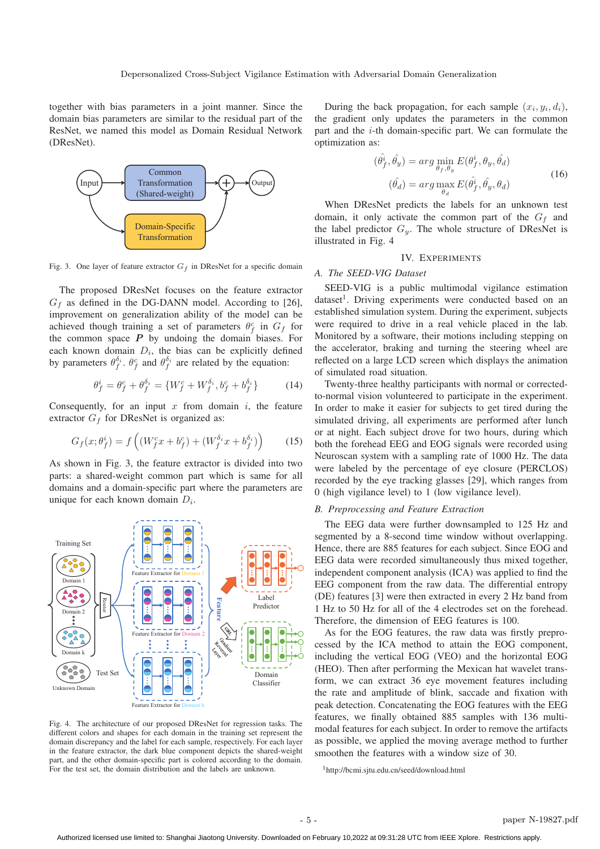together with bias parameters in a joint manner. Since the domain bias parameters are similar to the residual part of the ResNet, we named this model as Domain Residual Network (DResNet).



Fig. 3. One layer of feature extractor  $G_f$  in DResNet for a specific domain

The proposed DResNet focuses on the feature extractor  $G_f$  as defined in the DG-DANN model. According to [26], improvement on generalization ability of the model can be achieved though training a set of parameters  $\theta_f^c$  in  $G_f$  for the common space  $P$  by undoing the domain biases. For each known domain  $D_i$ , the bias can be explicitly defined by parameters  $\theta_f^{\delta_i}$ .  $\theta_f^c$  and  $\theta_f^{\delta_i}$  are related by the equation:

$$
\theta_f^i = \theta_f^c + \theta_f^{\delta_i} = \{ W_f^c + W_f^{\delta_i}, b_f^c + b_f^{\delta_i} \}
$$
 (14)

Consequently, for an input  $x$  from domain  $i$ , the feature extractor  $G_f$  for DResNet is organized as:

$$
G_f(x; \theta_f^i) = f\left((W_f^c x + b_f^c) + (W_f^{\delta_i} x + b_f^{\delta_i})\right) \tag{15}
$$

As shown in Fig. 3, the feature extractor is divided into two parts: a shared-weight common part which is same for all domains and a domain-specific part where the parameters are unique for each known domain  $D_i$ .



Fig. 4. The architecture of our proposed DResNet for regression tasks. The different colors and shapes for each domain in the training set represent the domain discrepancy and the label for each sample, respectively. For each layer in the feature extractor, the dark blue component depicts the shared-weight part, and the other domain-specific part is colored according to the domain. For the test set, the domain distribution and the labels are unknown.

During the back propagation, for each sample  $(x_i, y_i, d_i)$ , the gradient only updates the parameters in the common part and the i-th domain-specific part. We can formulate the optimization as:

$$
(\hat{\theta}_{f}^{i}, \hat{\theta}_{y}) = \arg \min_{\theta_{f}, \theta_{y}} E(\theta_{f}^{i}, \theta_{y}, \hat{\theta}_{d})
$$

$$
(\hat{\theta}_{d}) = \arg \max_{\theta_{d}} E(\hat{\theta}_{f}^{i}, \hat{\theta}_{y}, \theta_{d})
$$
(16)

When DResNet predicts the labels for an unknown test domain, it only activate the common part of the  $G_f$  and the label predictor  $G_y$ . The whole structure of DResNet is illustrated in Fig. 4

## IV. EXPERIMENTS

# *A. The SEED-VIG Dataset*

SEED-VIG is a public multimodal vigilance estimation dataset<sup>1</sup>. Driving experiments were conducted based on an established simulation system. During the experiment, subjects were required to drive in a real vehicle placed in the lab. Monitored by a software, their motions including stepping on the accelerator, braking and turning the steering wheel are reflected on a large LCD screen which displays the animation of simulated road situation.

Twenty-three healthy participants with normal or correctedto-normal vision volunteered to participate in the experiment. In order to make it easier for subjects to get tired during the simulated driving, all experiments are performed after lunch or at night. Each subject drove for two hours, during which both the forehead EEG and EOG signals were recorded using Neuroscan system with a sampling rate of 1000 Hz. The data were labeled by the percentage of eye closure (PERCLOS) recorded by the eye tracking glasses [29], which ranges from 0 (high vigilance level) to 1 (low vigilance level).

## *B. Preprocessing and Feature Extraction*

The EEG data were further downsampled to 125 Hz and segmented by a 8-second time window without overlapping. Hence, there are 885 features for each subject. Since EOG and EEG data were recorded simultaneously thus mixed together, independent component analysis (ICA) was applied to find the EEG component from the raw data. The differential entropy (DE) features [3] were then extracted in every 2 Hz band from 1 Hz to 50 Hz for all of the 4 electrodes set on the forehead. Therefore, the dimension of EEG features is 100.

As for the EOG features, the raw data was firstly preprocessed by the ICA method to attain the EOG component, including the vertical EOG (VEO) and the horizontal EOG (HEO). Then after performing the Mexican hat wavelet transform, we can extract 36 eye movement features including the rate and amplitude of blink, saccade and fixation with peak detection. Concatenating the EOG features with the EEG features, we finally obtained 885 samples with 136 multimodal features for each subject. In order to remove the artifacts as possible, we applied the moving average method to further smoothen the features with a window size of 30.

<sup>1</sup>http://bcmi.sjtu.edu.cn/seed/download.html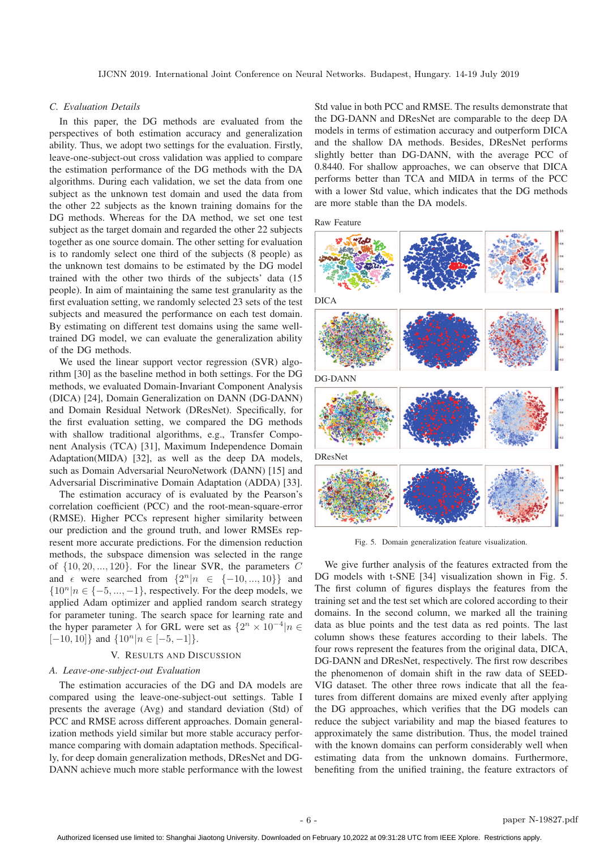# *C. Evaluation Details*

In this paper, the DG methods are evaluated from the perspectives of both estimation accuracy and generalization ability. Thus, we adopt two settings for the evaluation. Firstly, leave-one-subject-out cross validation was applied to compare the estimation performance of the DG methods with the DA algorithms. During each validation, we set the data from one subject as the unknown test domain and used the data from the other 22 subjects as the known training domains for the DG methods. Whereas for the DA method, we set one test subject as the target domain and regarded the other 22 subjects together as one source domain. The other setting for evaluation is to randomly select one third of the subjects (8 people) as the unknown test domains to be estimated by the DG model trained with the other two thirds of the subjects' data (15 people). In aim of maintaining the same test granularity as the first evaluation setting, we randomly selected 23 sets of the test subjects and measured the performance on each test domain. By estimating on different test domains using the same welltrained DG model, we can evaluate the generalization ability of the DG methods.

We used the linear support vector regression (SVR) algorithm [30] as the baseline method in both settings. For the DG methods, we evaluated Domain-Invariant Component Analysis (DICA) [24], Domain Generalization on DANN (DG-DANN) and Domain Residual Network (DResNet). Specifically, for the first evaluation setting, we compared the DG methods with shallow traditional algorithms, e.g., Transfer Component Analysis (TCA) [31], Maximum Independence Domain Adaptation(MIDA) [32], as well as the deep DA models, such as Domain Adversarial NeuroNetwork (DANN) [15] and Adversarial Discriminative Domain Adaptation (ADDA) [33].

The estimation accuracy of is evaluated by the Pearson's correlation coefficient (PCC) and the root-mean-square-error (RMSE). Higher PCCs represent higher similarity between our prediction and the ground truth, and lower RMSEs represent more accurate predictions. For the dimension reduction methods, the subspace dimension was selected in the range of  $\{10, 20, \ldots, 120\}$ . For the linear SVR, the parameters C and  $\epsilon$  were searched from  $\{2^n | n \in \{-10, ..., 10\}\}\$  and  ${10<sup>n</sup>|n \in {-5, ..., -1}}$ , respectively. For the deep models, we applied Adam optimizer and applied random search strategy for parameter tuning. The search space for learning rate and the hyper parameter  $\lambda$  for GRL were set as  $\{2^n \times 10^{-4} | n \in \mathbb{R}\}$  $[-10, 10]$ } and  $\{10^n | n \in [-5, -1] \}.$ 

# V. RESULTS AND DISCUSSION

#### *A. Leave-one-subject-out Evaluation*

The estimation accuracies of the DG and DA models are compared using the leave-one-subject-out settings. Table I presents the average (Avg) and standard deviation (Std) of PCC and RMSE across different approaches. Domain generalization methods yield similar but more stable accuracy performance comparing with domain adaptation methods. Specifically, for deep domain generalization methods, DResNet and DG-DANN achieve much more stable performance with the lowest Std value in both PCC and RMSE. The results demonstrate that the DG-DANN and DResNet are comparable to the deep DA models in terms of estimation accuracy and outperform DICA and the shallow DA methods. Besides, DResNet performs slightly better than DG-DANN, with the average PCC of 0.8440. For shallow approaches, we can observe that DICA performs better than TCA and MIDA in terms of the PCC with a lower Std value, which indicates that the DG methods are more stable than the DA models.





Fig. 5. Domain generalization feature visualization.

We give further analysis of the features extracted from the DG models with t-SNE [34] visualization shown in Fig. 5. The first column of figures displays the features from the training set and the test set which are colored according to their domains. In the second column, we marked all the training data as blue points and the test data as red points. The last column shows these features according to their labels. The four rows represent the features from the original data, DICA, DG-DANN and DResNet, respectively. The first row describes the phenomenon of domain shift in the raw data of SEED-VIG dataset. The other three rows indicate that all the features from different domains are mixed evenly after applying the DG approaches, which verifies that the DG models can reduce the subject variability and map the biased features to approximately the same distribution. Thus, the model trained with the known domains can perform considerably well when estimating data from the unknown domains. Furthermore, benefiting from the unified training, the feature extractors of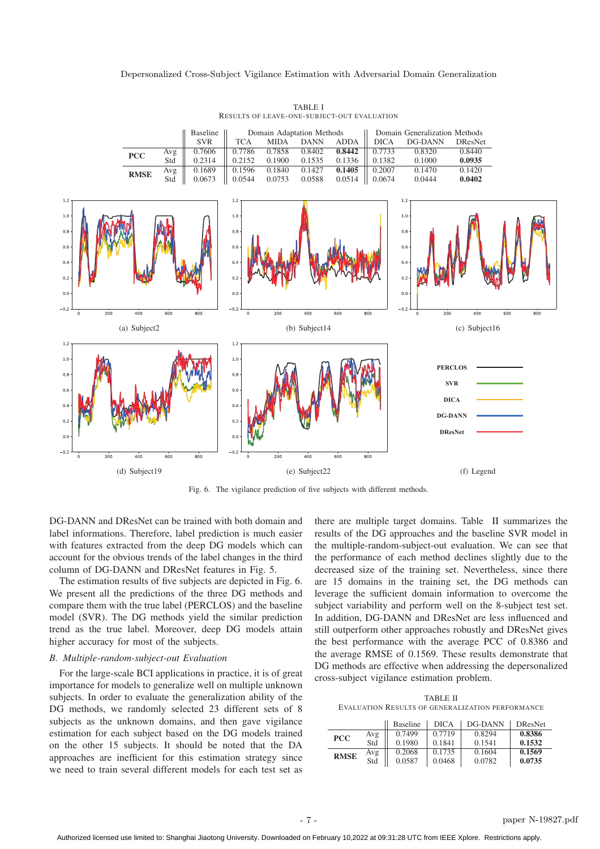

TABLE I RESULTS OF LEAVE-ONE-SUBJECT-OUT EVALUATION

Fig. 6. The vigilance prediction of five subjects with different methods.

DG-DANN and DResNet can be trained with both domain and label informations. Therefore, label prediction is much easier with features extracted from the deep DG models which can account for the obvious trends of the label changes in the third column of DG-DANN and DResNet features in Fig. 5.

The estimation results of five subjects are depicted in Fig. 6. We present all the predictions of the three DG methods and compare them with the true label (PERCLOS) and the baseline model (SVR). The DG methods yield the similar prediction trend as the true label. Moreover, deep DG models attain higher accuracy for most of the subjects.

#### *B. Multiple-random-subject-out Evaluation*

For the large-scale BCI applications in practice, it is of great importance for models to generalize well on multiple unknown subjects. In order to evaluate the generalization ability of the DG methods, we randomly selected 23 different sets of 8 subjects as the unknown domains, and then gave vigilance estimation for each subject based on the DG models trained on the other 15 subjects. It should be noted that the DA approaches are inefficient for this estimation strategy since we need to train several different models for each test set as

there are multiple target domains. Table II summarizes the results of the DG approaches and the baseline SVR model in the multiple-random-subject-out evaluation. We can see that the performance of each method declines slightly due to the decreased size of the training set. Nevertheless, since there are 15 domains in the training set, the DG methods can leverage the sufficient domain information to overcome the subject variability and perform well on the 8-subject test set. In addition, DG-DANN and DResNet are less influenced and still outperform other approaches robustly and DResNet gives the best performance with the average PCC of 0.8386 and the average RMSE of 0.1569. These results demonstrate that DG methods are effective when addressing the depersonalized cross-subject vigilance estimation problem.

TABLE II EVALUATION RESULTS OF GENERALIZATION PERFORMANCE

|             |     | <b>Baseline</b> | <b>DICA</b> | DG-DANN | <b>DResNet</b> |
|-------------|-----|-----------------|-------------|---------|----------------|
| <b>PCC</b>  | Avg | 0.7499          | 0.7719      | 0.8294  | 0.8386         |
|             | Std | 0.1980          | 0.1841      | 0.1541  | 0.1532         |
| <b>RMSE</b> | Avg | 0.2068          | 0.1735      | 0.1604  | 0.1569         |
|             | Std | 0.0587          | 0.0468      | 0.0782  | 0.0735         |